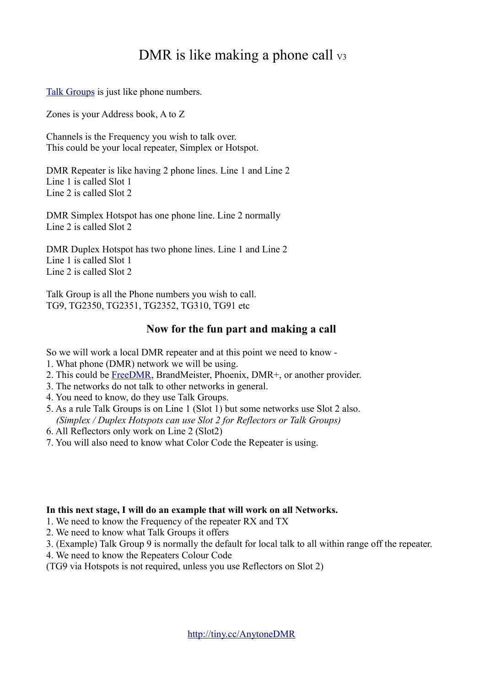# DMR is like making a phone call  $v_3$

[Talk Groups](http://hamradio.joomla.com/dmr-info/2-uncategorised/61-access-talk-groups.html) is just like phone numbers.

Zones is your Address book, A to Z

Channels is the Frequency you wish to talk over. This could be your local repeater, Simplex or Hotspot.

DMR Repeater is like having 2 phone lines. Line 1 and Line 2 Line 1 is called Slot 1 Line 2 is called Slot 2

DMR Simplex Hotspot has one phone line. Line 2 normally Line 2 is called Slot 2

DMR Duplex Hotspot has two phone lines. Line 1 and Line 2 Line 1 is called Slot 1 Line 2 is called Slot 2

Talk Group is all the Phone numbers you wish to call. TG9, TG2350, TG2351, TG2352, TG310, TG91 etc

# **Now for the fun part and making a call**

So we will work a local DMR repeater and at this point we need to know -

- 1. What phone (DMR) network we will be using.
- 2. This could be [FreeDMR,](http://www.freedmr.uk/index.php/contact-support/how-to/) BrandMeister, Phoenix, DMR+, or another provider.
- 3. The networks do not talk to other networks in general.
- 4. You need to know, do they use Talk Groups.
- 5. As a rule Talk Groups is on Line 1 (Slot 1) but some networks use Slot 2 also. *(Simplex / Duplex Hotspots can use Slot 2 for Reflectors or Talk Groups)*
- 6. All Reflectors only work on Line 2 (Slot2)
- 7. You will also need to know what Color Code the Repeater is using.

#### **In this next stage, I will do an example that will work on all Networks.**

1. We need to know the Frequency of the repeater RX and TX

- 2. We need to know what Talk Groups it offers
- 3. (Example) Talk Group 9 is normally the default for local talk to all within range off the repeater.
- 4. We need to know the Repeaters Colour Code

(TG9 via Hotspots is not required, unless you use Reflectors on Slot 2)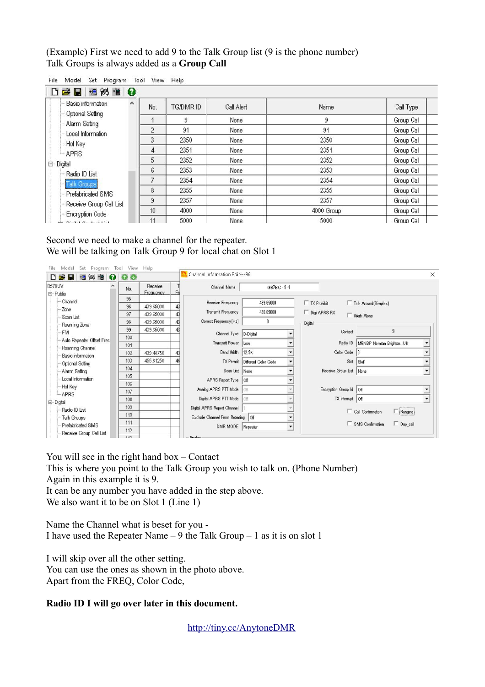(Example) First we need to add 9 to the Talk Group list (9 is the phone number) Talk Groups is always added as a **Group Call**

| Basic information<br>A                | No.            | TG/DMR ID | Call Alert | Name       | Call Type  |
|---------------------------------------|----------------|-----------|------------|------------|------------|
| - Optional Setting<br>- Alarm Setting |                | 9         | None       | 9          | Group Call |
| Local Information                     | $\overline{c}$ | 91        | None       | 91         | Group Call |
| - Hot Key                             | 3              | 2350      | None       | 2350       | Group Call |
| $-$ APRS                              | 4              | 2351      | None       | 2351       | Group Call |
| <b>⊟</b> Digital                      | 5              | 2352      | None       | 2352       | Group Call |
| - Radio ID List                       | 6              | 2353      | None       | 2353       | Group Call |
| <b>Talk Groups</b>                    | 7              | 2354      | None       | 2354       | Group Call |
| - Prefabricated SMS                   | 8              | 2355      | None       | 2355       | Group Call |
| Receive Group Call List               | 9              | 2357      | None       | 2357       | Group Call |
| - Encryption Code                     | 10             | 4000      | None       | 4000 Group | Group Call |
| $-$ N.110  1111                       |                | 5000      | None       | 5000       | Group Call |

File Model Set Program Tool View Help

Second we need to make a channel for the repeater. We will be talking on Talk Group 9 for local chat on Slot 1

| 阙<br>DB<br>憎<br>ø<br>Н<br>慍 | 00                |                      |    | Channel Information Edit---96      |                                                              |                         |                                     | $\times$                 |
|-----------------------------|-------------------|----------------------|----|------------------------------------|--------------------------------------------------------------|-------------------------|-------------------------------------|--------------------------|
| D578UV<br>白· Public         | No.               | Receive<br>Frequency | Fr | Channel Name                       | GB7BC-9-1                                                    |                         |                                     |                          |
| Channel                     | 95                |                      |    | Receive Frequency                  | 439.65000                                                    |                         |                                     |                          |
| Zone                        | 96                | 439.65000            |    |                                    |                                                              | $\Box$ TX Prohibit      | $\Box$ Talk Around (Simplex)        |                          |
| Scan List                   | 97                | 439.65000            |    | Transmit Frequency                 | 430.65000                                                    | $\Box$ Digi APRS RX     | <b>TWork Alone</b>                  |                          |
| Roaming Zone                | 98                | 439.65000            | 43 | Correct Frequency [Hz]             | 0                                                            | Digital                 |                                     |                          |
| <b>FM</b>                   | 99                | 439.65000            |    | Channel Type                       | D-Digital<br>$\overline{\phantom{a}}$                        | Contact                 | 9                                   |                          |
| Auto Repeater Offset Frec   | 100               |                      |    |                                    | $\cdot$                                                      |                         |                                     |                          |
| Roaming Channel             | 101               |                      |    | Transmit Power                     | Low                                                          | Radio ID                | M6NBP Norman Brighton, UK           | $\dot{=}$                |
| Basic information           | 102               | 439.48750            | 43 | Band Width                         | $\cdot$<br>12.5K                                             | Color Code              |                                     | $\overline{\phantom{a}}$ |
| Optional Setting            | 103               | 455.81250            |    |                                    | TX Permit   Different Color Code<br>$\overline{\phantom{a}}$ | Slot                    | Slot1                               | $\overline{\phantom{a}}$ |
| Alarm Setting               | 104               |                      |    | Scan List None                     | $\overline{\phantom{a}}$                                     | Receive Group List None |                                     | $\blacktriangledown$     |
| Local Information           | 105               |                      |    | APRS Report Type Off               | $\cdot$                                                      |                         |                                     |                          |
| Hot Key                     | 106               |                      |    |                                    |                                                              |                         |                                     |                          |
| - APRS                      | 107               |                      |    | Analog APRS PTT Mode               | $1$ Off                                                      | Encryption Group Id Off |                                     | $\blacktriangledown$     |
| 白 Digital                   | 108               |                      |    | Digital APRS PTT Mode              | $\sqrt{C}$                                                   | TX Interrupt Off        |                                     | $\check{}$               |
| Radio ID List               | 109               |                      |    | Digital APRS Report Channel        |                                                              |                         |                                     |                          |
| Talk Groups                 | 110               |                      |    | Exclude Channel From Roaming   Off | $\overline{\phantom{a}}$                                     |                         | Ranging<br>Call Confirmation        |                          |
| Prefabricated SMS           | 111               |                      |    |                                    |                                                              |                         | SMS Confirmation<br>$\Box$ Dup_call |                          |
| Receive Group Call List     | 112               |                      |    | DMR MODE Repeater                  | $\overline{\phantom{a}}$                                     |                         |                                     |                          |
|                             | $\lambda \lambda$ |                      |    | $Au - I0$                          |                                                              |                         |                                     |                          |

You will see in the right hand box – Contact

This is where you point to the Talk Group you wish to talk on. (Phone Number)

Again in this example it is 9.

It can be any number you have added in the step above.

We also want it to be on Slot 1 (Line 1)

Name the Channel what is beset for you - I have used the Repeater Name – 9 the Talk Group – 1 as it is on slot 1

I will skip over all the other setting. You can use the ones as shown in the photo above. Apart from the FREQ, Color Code,

## **Radio ID I will go over later in this document.**